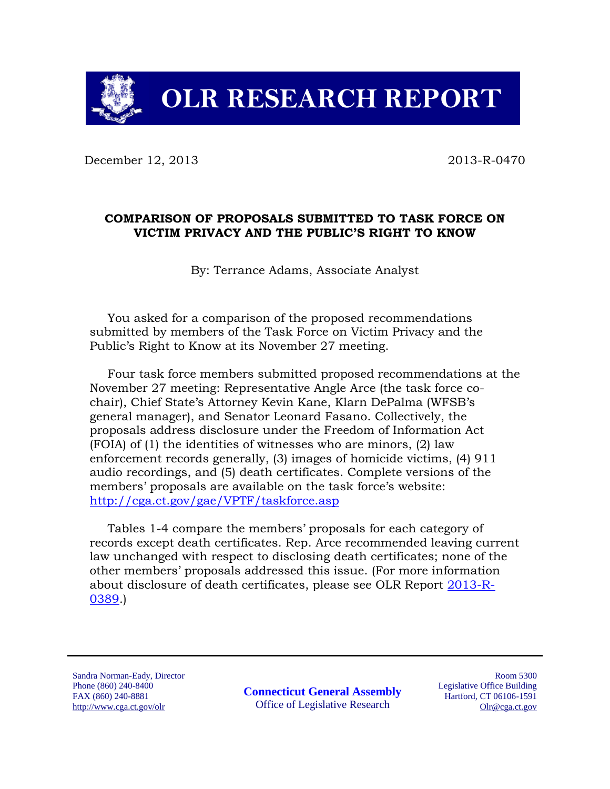

December 12, 2013 2013-R-0470

#### **COMPARISON OF PROPOSALS SUBMITTED TO TASK FORCE ON VICTIM PRIVACY AND THE PUBLIC'S RIGHT TO KNOW**

By: Terrance Adams, Associate Analyst

You asked for a comparison of the proposed recommendations submitted by members of the Task Force on Victim Privacy and the Public's Right to Know at its November 27 meeting.

Four task force members submitted proposed recommendations at the November 27 meeting: Representative Angle Arce (the task force cochair), Chief State's Attorney Kevin Kane, Klarn DePalma (WFSB's general manager), and Senator Leonard Fasano. Collectively, the proposals address disclosure under the Freedom of Information Act (FOIA) of (1) the identities of witnesses who are minors, (2) law enforcement records generally, (3) images of homicide victims, (4) 911 audio recordings, and (5) death certificates. Complete versions of the members' proposals are available on the task force's website: <http://cga.ct.gov/gae/VPTF/taskforce.asp>

Tables 1-4 compare the members' proposals for each category of records except death certificates. Rep. Arce recommended leaving current law unchanged with respect to disclosing death certificates; none of the other members' proposals addressed this issue. (For more information about disclosure of death certificates, please see OLR Report [2013-R-](http://www.cga.ct.gov/2013/rpt/2013-R-0389.htm)[0389.](http://www.cga.ct.gov/2013/rpt/2013-R-0389.htm))

Sandra Norman-Eady, Director Phone (860) 240-8400 FAX (860) 240-8881 http://www.cga.ct.gov/olr

**Connecticut General Assembly** Office of Legislative Research

Room 5300 Legislative Office Building Hartford, CT 06106-1591 Olr@cga.ct.gov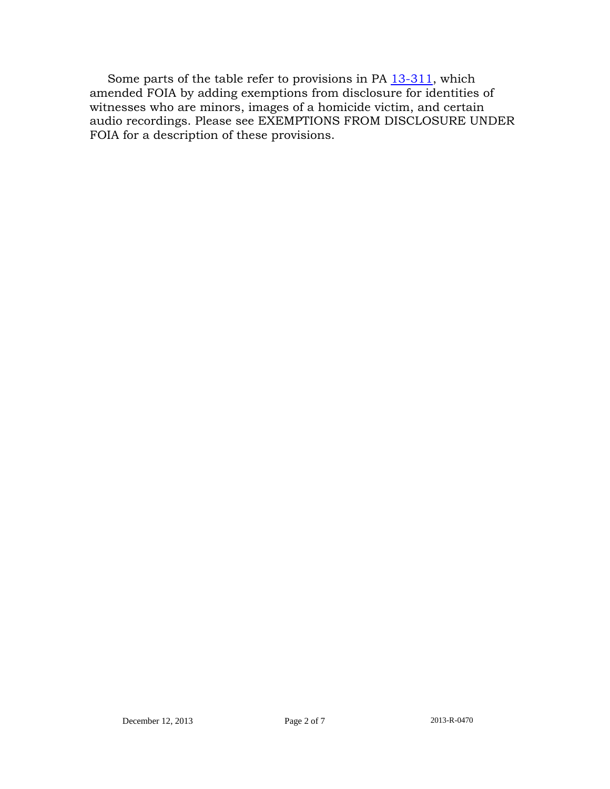Some parts of the table refer to provisions in PA [13-311,](http://www.cga.ct.gov/asp/cgabillstatus/cgabillstatus.asp?selBillType=Public+Act&bill_num=311&which_year=2013&SUBMIT1.x=0&SUBMIT1.y=0) which amended FOIA by adding exemptions from disclosure for identities of witnesses who are minors, images of a homicide victim, and certain audio recordings. Please see EXEMPTIONS FROM DISCLOSURE UNDER FOIA for a description of these provisions.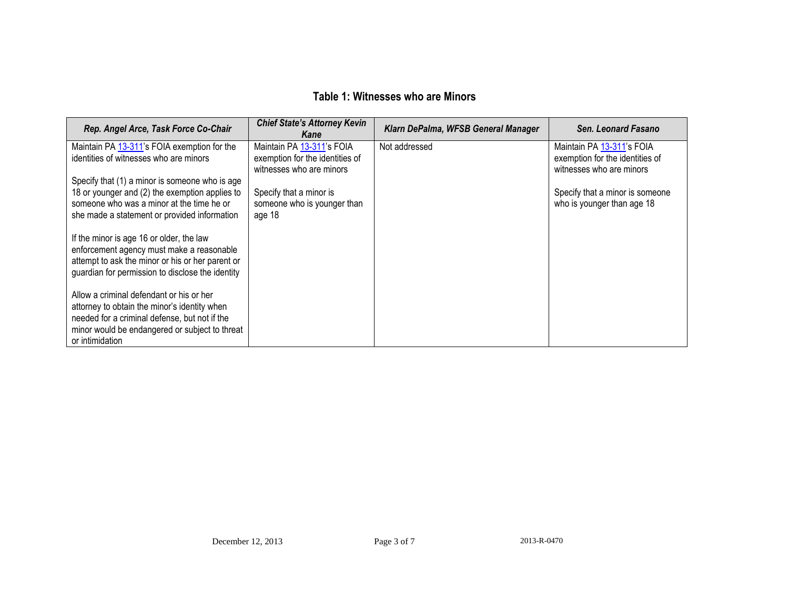### **Table 1: Witnesses who are Minors**

| <b>Chief State's Attorney Kevin</b><br>Kane | Klarn DePalma, WFSB General Manager                                                                                   | Sen. Leonard Fasano             |
|---------------------------------------------|-----------------------------------------------------------------------------------------------------------------------|---------------------------------|
| Maintain PA 13-311's FOIA                   | Not addressed                                                                                                         | Maintain PA 13-311's FOIA       |
|                                             |                                                                                                                       | exemption for the identities of |
|                                             |                                                                                                                       | witnesses who are minors        |
|                                             |                                                                                                                       | Specify that a minor is someone |
|                                             |                                                                                                                       | who is younger than age 18      |
| age 18                                      |                                                                                                                       |                                 |
|                                             |                                                                                                                       |                                 |
|                                             |                                                                                                                       |                                 |
|                                             |                                                                                                                       |                                 |
|                                             |                                                                                                                       |                                 |
|                                             |                                                                                                                       |                                 |
|                                             |                                                                                                                       |                                 |
|                                             |                                                                                                                       |                                 |
|                                             |                                                                                                                       |                                 |
|                                             |                                                                                                                       |                                 |
|                                             | exemption for the identities of<br>witnesses who are minors<br>Specify that a minor is<br>someone who is younger than |                                 |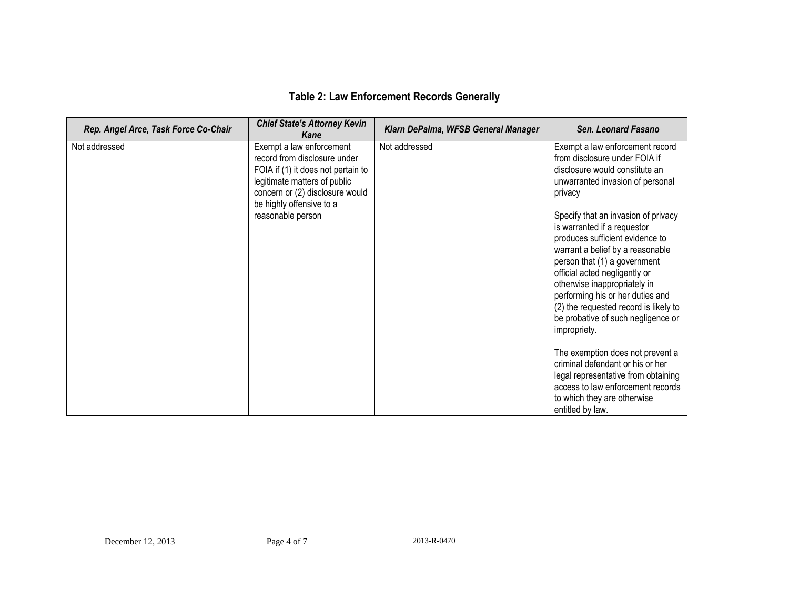| <b>Table 2: Law Enforcement Records Generally</b> |  |  |
|---------------------------------------------------|--|--|
|---------------------------------------------------|--|--|

| Rep. Angel Arce, Task Force Co-Chair | <b>Chief State's Attorney Kevin</b><br>Kane                                                                                                                                                                        | Klarn DePalma, WFSB General Manager | Sen. Leonard Fasano                                                                                                                                                                                                                                                                                                                                                                                                                                                                                                                                                                                                                                                                                                                       |
|--------------------------------------|--------------------------------------------------------------------------------------------------------------------------------------------------------------------------------------------------------------------|-------------------------------------|-------------------------------------------------------------------------------------------------------------------------------------------------------------------------------------------------------------------------------------------------------------------------------------------------------------------------------------------------------------------------------------------------------------------------------------------------------------------------------------------------------------------------------------------------------------------------------------------------------------------------------------------------------------------------------------------------------------------------------------------|
| Not addressed                        | Exempt a law enforcement<br>record from disclosure under<br>FOIA if (1) it does not pertain to<br>legitimate matters of public<br>concern or (2) disclosure would<br>be highly offensive to a<br>reasonable person | Not addressed                       | Exempt a law enforcement record<br>from disclosure under FOIA if<br>disclosure would constitute an<br>unwarranted invasion of personal<br>privacy<br>Specify that an invasion of privacy<br>is warranted if a requestor<br>produces sufficient evidence to<br>warrant a belief by a reasonable<br>person that (1) a government<br>official acted negligently or<br>otherwise inappropriately in<br>performing his or her duties and<br>(2) the requested record is likely to<br>be probative of such negligence or<br>impropriety.<br>The exemption does not prevent a<br>criminal defendant or his or her<br>legal representative from obtaining<br>access to law enforcement records<br>to which they are otherwise<br>entitled by law. |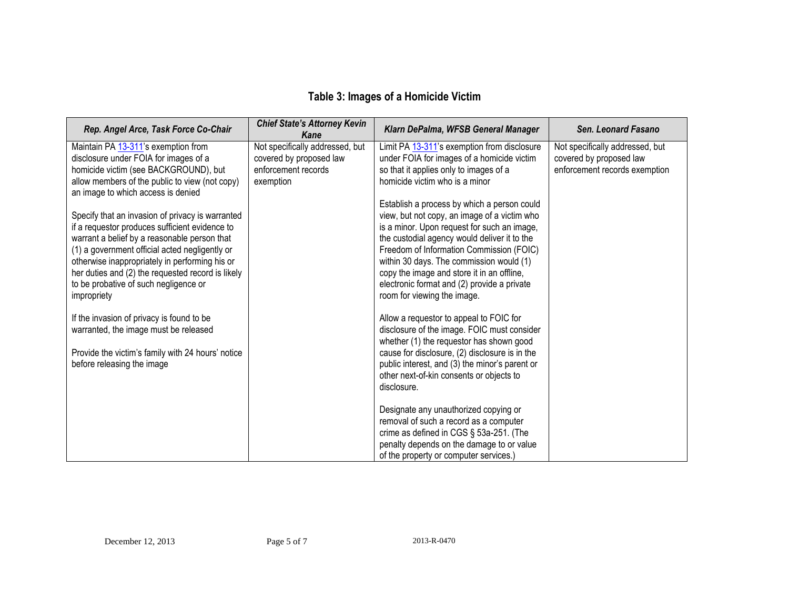# **Table 3: Images of a Homicide Victim**

| Rep. Angel Arce, Task Force Co-Chair                                                                                                                                                                                                                                                                                                                                | <b>Chief State's Attorney Kevin</b><br>Kane                                                    | Klarn DePalma, WFSB General Manager                                                                                                                                                                                                                                                                                                                                                                            | Sen. Leonard Fasano                                                                         |
|---------------------------------------------------------------------------------------------------------------------------------------------------------------------------------------------------------------------------------------------------------------------------------------------------------------------------------------------------------------------|------------------------------------------------------------------------------------------------|----------------------------------------------------------------------------------------------------------------------------------------------------------------------------------------------------------------------------------------------------------------------------------------------------------------------------------------------------------------------------------------------------------------|---------------------------------------------------------------------------------------------|
| Maintain PA 13-311's exemption from<br>disclosure under FOIA for images of a<br>homicide victim (see BACKGROUND), but<br>allow members of the public to view (not copy)<br>an image to which access is denied                                                                                                                                                       | Not specifically addressed, but<br>covered by proposed law<br>enforcement records<br>exemption | Limit PA 13-311's exemption from disclosure<br>under FOIA for images of a homicide victim<br>so that it applies only to images of a<br>homicide victim who is a minor                                                                                                                                                                                                                                          | Not specifically addressed, but<br>covered by proposed law<br>enforcement records exemption |
| Specify that an invasion of privacy is warranted<br>if a requestor produces sufficient evidence to<br>warrant a belief by a reasonable person that<br>(1) a government official acted negligently or<br>otherwise inappropriately in performing his or<br>her duties and (2) the requested record is likely<br>to be probative of such negligence or<br>impropriety |                                                                                                | Establish a process by which a person could<br>view, but not copy, an image of a victim who<br>is a minor. Upon request for such an image,<br>the custodial agency would deliver it to the<br>Freedom of Information Commission (FOIC)<br>within 30 days. The commission would (1)<br>copy the image and store it in an offline,<br>electronic format and (2) provide a private<br>room for viewing the image. |                                                                                             |
| If the invasion of privacy is found to be<br>warranted, the image must be released<br>Provide the victim's family with 24 hours' notice<br>before releasing the image                                                                                                                                                                                               |                                                                                                | Allow a requestor to appeal to FOIC for<br>disclosure of the image. FOIC must consider<br>whether (1) the requestor has shown good<br>cause for disclosure, (2) disclosure is in the<br>public interest, and (3) the minor's parent or<br>other next-of-kin consents or objects to<br>disclosure.                                                                                                              |                                                                                             |
|                                                                                                                                                                                                                                                                                                                                                                     |                                                                                                | Designate any unauthorized copying or<br>removal of such a record as a computer<br>crime as defined in CGS § 53a-251. (The<br>penalty depends on the damage to or value<br>of the property or computer services.)                                                                                                                                                                                              |                                                                                             |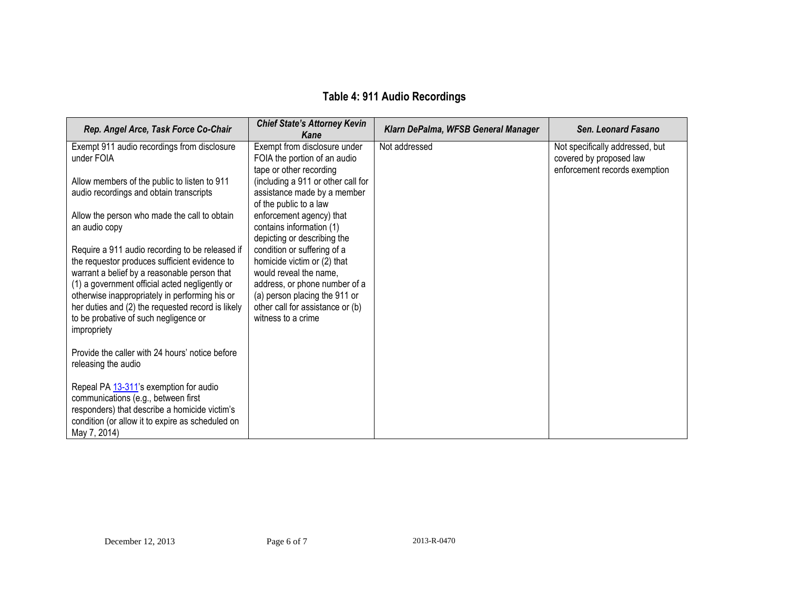# **Table 4: 911 Audio Recordings**

| Rep. Angel Arce, Task Force Co-Chair                                                                                                                                                                                                                                                                                                                              | <b>Chief State's Attorney Kevin</b><br>Kane                                                                                                                                                                      | Klarn DePalma, WFSB General Manager | Sen. Leonard Fasano                                                                         |
|-------------------------------------------------------------------------------------------------------------------------------------------------------------------------------------------------------------------------------------------------------------------------------------------------------------------------------------------------------------------|------------------------------------------------------------------------------------------------------------------------------------------------------------------------------------------------------------------|-------------------------------------|---------------------------------------------------------------------------------------------|
| Exempt 911 audio recordings from disclosure<br>under FOIA                                                                                                                                                                                                                                                                                                         | Exempt from disclosure under<br>FOIA the portion of an audio<br>tape or other recording                                                                                                                          | Not addressed                       | Not specifically addressed, but<br>covered by proposed law<br>enforcement records exemption |
| Allow members of the public to listen to 911<br>audio recordings and obtain transcripts                                                                                                                                                                                                                                                                           | (including a 911 or other call for<br>assistance made by a member<br>of the public to a law                                                                                                                      |                                     |                                                                                             |
| Allow the person who made the call to obtain<br>an audio copy                                                                                                                                                                                                                                                                                                     | enforcement agency) that<br>contains information (1)<br>depicting or describing the                                                                                                                              |                                     |                                                                                             |
| Require a 911 audio recording to be released if<br>the requestor produces sufficient evidence to<br>warrant a belief by a reasonable person that<br>(1) a government official acted negligently or<br>otherwise inappropriately in performing his or<br>her duties and (2) the requested record is likely<br>to be probative of such negligence or<br>impropriety | condition or suffering of a<br>homicide victim or (2) that<br>would reveal the name,<br>address, or phone number of a<br>(a) person placing the 911 or<br>other call for assistance or (b)<br>witness to a crime |                                     |                                                                                             |
| Provide the caller with 24 hours' notice before<br>releasing the audio                                                                                                                                                                                                                                                                                            |                                                                                                                                                                                                                  |                                     |                                                                                             |
| Repeal PA 13-311's exemption for audio<br>communications (e.g., between first<br>responders) that describe a homicide victim's<br>condition (or allow it to expire as scheduled on<br>May 7, 2014)                                                                                                                                                                |                                                                                                                                                                                                                  |                                     |                                                                                             |